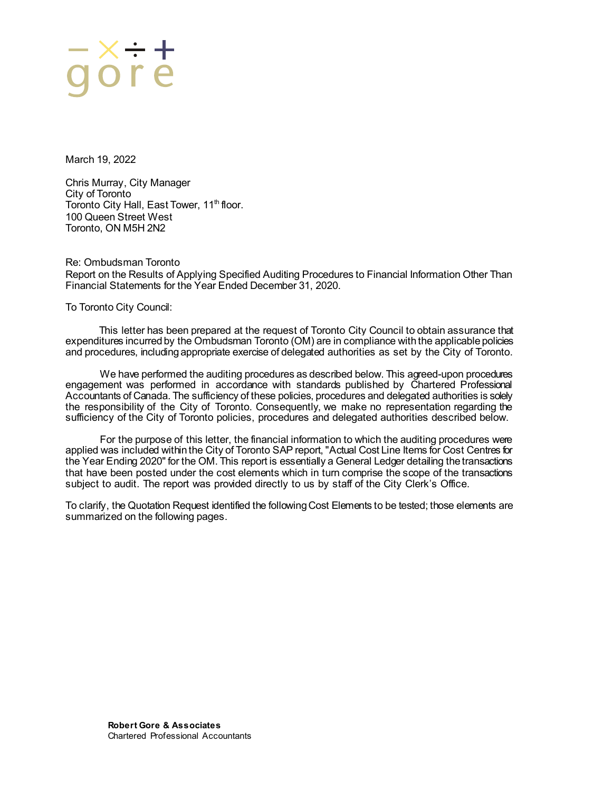### <u>aore</u>

March 19, 2022

Chris Murray, City Manager City of Toronto Toronto City Hall, East Tower, 11<sup>th</sup> floor. 100 Queen Street West Toronto, ON M5H 2N2

Re: Ombudsman Toronto Report on the Results of Applying Specified Auditing Procedures to Financial Information Other Than Financial Statements for the Year Ended December 31, 2020.

To Toronto City Council:

This letter has been prepared at the request of Toronto City Council to obtain assurance that expenditures incurred by the Ombudsman Toronto (OM) are in compliance with the applicable policies and procedures, including appropriate exercise of delegated authorities as set by the City of Toronto.

We have performed the auditing procedures as described below. This agreed-upon procedures engagement was performed in accordance with standards published by Chartered Professional Accountants of Canada. The sufficiency of these policies, procedures and delegated authorities is solely the responsibility of the City of Toronto. Consequently, we make no representation regarding the sufficiency of the City of Toronto policies, procedures and delegated authorities described below.

For the purpose of this letter, the financial information to which the auditing procedures were applied was included within the City of Toronto SAP report, "Actual Cost Line Items for Cost Centres for the Year Ending 2020" for the OM. This report is essentially a General Ledger detailing the transactions that have been posted under the cost elements which in turn comprise the scope of the transactions subject to audit. The report was provided directly to us by staff of the City Clerk's Office.

To clarify, the Quotation Request identified the following Cost Elements to be tested; those elements are summarized on the following pages.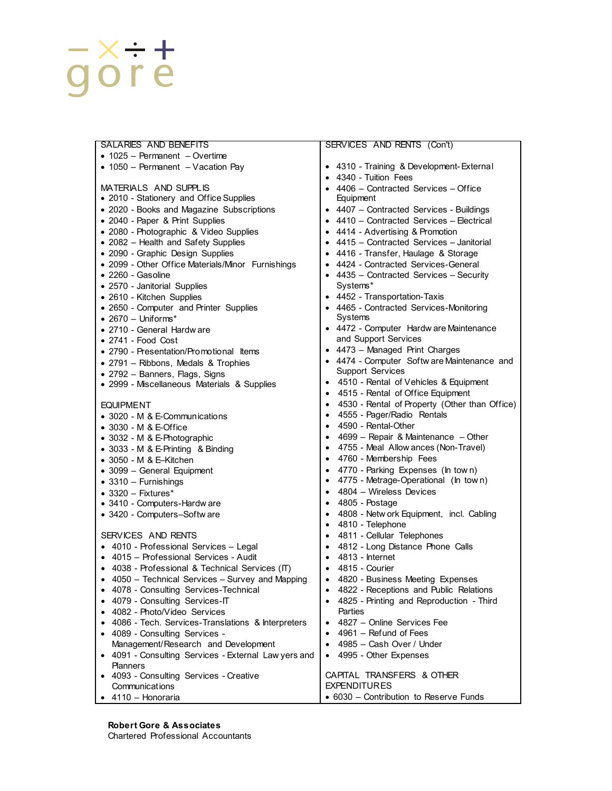# $\frac{-x \div +}{g}$

| SALARIES AND BENEFITS                                          | SERVICES AND RENTS (Con't)                                 |
|----------------------------------------------------------------|------------------------------------------------------------|
| $\bullet$ 1025 - Permanent - Overtime                          |                                                            |
| • 1050 - Permanent - Vacation Pay                              | • 4310 - Training & Development-External                   |
|                                                                | • 4340 - Tuition Fees                                      |
| MATERIALS AND SUPPLIS                                          | • 4406 - Contracted Services - Office                      |
| • 2010 - Stationery and Office Supplies                        | Equipment                                                  |
| • 2020 - Books and Magazine Subscriptions                      | • 4407 - Contracted Services - Buildings                   |
| • 2040 - Paper & Print Supplies                                | • $4410$ – Contracted Services – Electrical                |
| • 2080 - Photographic & Video Supplies                         | • 4414 - Advertising & Promotion                           |
| • 2082 - Health and Safety Supplies                            | • 4415 – Contracted Services – Janitorial                  |
| · 2090 - Graphic Design Supplies                               | • 4416 - Transfer, Haulage & Storage                       |
| • 2099 - Other Office Materials/Minor Furnishings              | • 4424 - Contracted Services-General                       |
| $\bullet$ 2260 - Gasoline                                      | • $4435$ – Contracted Services – Security                  |
| • 2570 - Janitorial Supplies                                   | Systems*                                                   |
| • 2610 - Kitchen Supplies                                      | • 4452 - Transportation-Taxis                              |
| • 2650 - Computer and Printer Supplies                         | • 4465 - Contracted Services-Monitoring                    |
| $\bullet$ 2670 - Uniforms*                                     | Systems                                                    |
| • 2710 - General Hardw are                                     | • 4472 - Computer Hardw are Maintenance                    |
| $\bullet$ 2741 - Food Cost                                     | and Support Services                                       |
| • 2790 - Presentation/Promotional Items                        | • 4473 - Managed Print Charges                             |
| • 2791 - Ribbons, Medals & Trophies                            | • 4474 - Computer Softw are Maintenance and                |
| • 2792 - Banners, Flags, Signs                                 | <b>Support Services</b>                                    |
| • 2999 - Miscellaneous Materials & Supplies                    | 4510 - Rental of Vehicles & Equipment<br>٠                 |
|                                                                | 4515 - Rental of Office Equipment                          |
| <b>EQUIPMENT</b>                                               | 4530 - Rental of Property (Other than Office)<br>$\bullet$ |
| • 3020 - M & E-Communications                                  | 4555 - Pager/Radio Rentals<br>$\bullet$                    |
| $\bullet$ 3030 - M & E-Office                                  | 4590 - Rental-Other<br>$\bullet$                           |
| • 3032 - M & E-Photographic                                    | 4699 - Repair & Maintenance - Other                        |
| $\bullet$ 3033 - M & E-Printing & Binding                      | 4755 - Meal Allow ances (Non-Travel)<br>$\bullet$          |
| $\bullet$ 3050 - M & E–Kitchen                                 | 4760 - Membership Fees<br>$\bullet$                        |
| • 3099 - General Equipment                                     | 4770 - Parking Expenses (In town)<br>$\bullet$             |
| $\bullet$ 3310 - Furnishings                                   | 4775 - Metrage-Operational (In town)<br>$\bullet$          |
| $\bullet$ 3320 - Fixtures*                                     | 4804 - Wireless Devices<br>$\bullet$                       |
| • 3410 - Computers-Hardw are                                   | 4805 - Postage                                             |
| • 3420 - Computers-Softw are                                   | 4808 - Netw ork Equipment, incl. Cabling<br>٠              |
|                                                                | 4810 - Telephone<br>$\bullet$                              |
| SERVICES AND RENTS                                             | 4811 - Cellular Telephones<br>$\bullet$                    |
| • 4010 - Professional Services - Legal                         | 4812 - Long Distance Phone Calls<br>$\bullet$              |
| 4015 – Professional Services - Audit                           | 4813 - Internet                                            |
| 4038 - Professional & Technical Services (IT)                  | $\bullet$ 4815 - Courier                                   |
| • 4050 - Technical Services - Survey and Mapping               | • 4820 - Business Meeting Expenses                         |
| 4078 - Consulting Services-Technical                           | 4822 - Receptions and Public Relations                     |
| 4079 - Consulting Services-IT<br>$\bullet$                     | 4825 - Printing and Reproduction - Third                   |
| 4082 - Photo/Video Services                                    | Parties                                                    |
| 4086 - Tech. Services-Translations & Interpreters<br>$\bullet$ | 4827 – Online Services Fee                                 |
| 4089 - Consulting Services -<br>$\bullet$                      | 4961 – Refund of Fees<br>$\bullet$                         |
| Management/Research and Development                            | 4985 - Cash Over / Under                                   |
| • 4091 - Consulting Services - External Law yers and           | 4995 - Other Expenses                                      |
| <b>Planners</b>                                                |                                                            |
| 4093 - Consulting Services - Creative<br>$\bullet$             | CAPITAL TRANSFERS & OTHER                                  |
| Communications                                                 | <b>EXPENDITURES</b>                                        |
| 4110 - Honoraria<br>$\bullet$                                  | • 6030 – Contribution to Reserve Funds                     |

Chartered Professional Accountants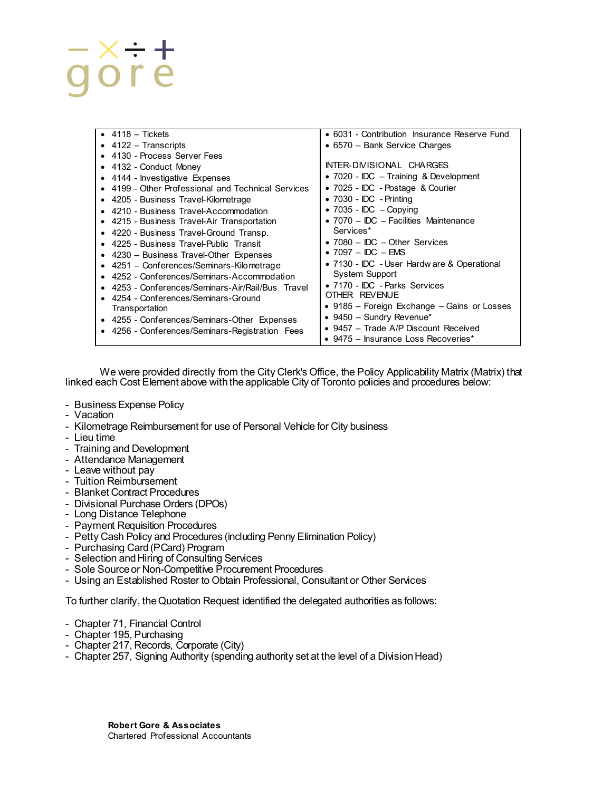## -x-+<br>gore

| $\bullet$ 4118 - Tickets                          | • 6031 - Contribution Insurance Reserve Fund  |
|---------------------------------------------------|-----------------------------------------------|
| $\bullet$ 4122 – Transcripts                      | • 6570 – Bank Service Charges                 |
| 4130 - Process Server Fees                        |                                               |
| • 4132 - Conduct Money                            | INTER-DIVISIONAL CHARGES                      |
| • 4144 - Investigative Expenses                   | • 7020 - IDC – Training & Development         |
| 4199 - Other Professional and Technical Services  | • 7025 - IDC - Postage & Courier              |
| 4205 - Business Travel-Kilometrage<br>٠           | $\bullet$ 7030 - IDC - Printing               |
| 4210 - Business Travel-Accommodation              | • 7035 - IDC $-$ Copying                      |
| 4215 - Business Travel-Air Transportation         | • 7070 – IDC – Facilities Maintenance         |
| • 4220 - Business Travel-Ground Transp.           | Services*                                     |
| • 4225 - Business Travel-Public Transit           | • $7080 - \text{IDC} - \text{Other Services}$ |
| • 4230 - Business Travel-Other Expenses           | $\bullet$ 7097 - IDC - EMS                    |
| $\bullet$ 4251 - Conferences/Seminars-Kilometrage | • 7130 - IDC - User Hardw are & Operational   |
| • 4252 - Conferences/Seminars-Accommodation       | <b>System Support</b>                         |
| 4253 - Conferences/Seminars-Air/Rail/Bus Travel   | • 7170 - IDC - Parks Services                 |
| • 4254 - Conferences/Seminars-Ground              | OTHER REVENUE                                 |
| Transportation                                    | • 9185 – Foreign Exchange – Gains or Losses   |
| • 4255 - Conferences/Seminars-Other Expenses      | $\bullet$ 9450 - Sundry Revenue*              |
| 4256 - Conferences/Seminars-Registration Fees     | • 9457 – Trade A/P Discount Received          |
|                                                   | • 9475 – Insurance Loss Recoveries*           |

We were provided directly from the City Clerk's Office, the Policy Applicability Matrix (Matrix) that linked each Cost Element above with the applicable City of Toronto policies and procedures below:

- Business Expense Policy
- Vacation
- Kilometrage Reimbursement for use of Personal Vehicle for City business
- Lieu time
- Training and Development
- Attendance Management
- Leave without pay
- Tuition Reimbursement
- Blanket Contract Procedures
- Divisional Purchase Orders (DPOs)
- Long Distance Telephone
- Payment Requisition Procedures
- Petty Cash Policy and Procedures (including Penny Elimination Policy)
- Purchasing Card (PCard) Program
- Selection and Hiring of Consulting Services
- Sole Source or Non-Competitive Procurement Procedures
- Using an Established Roster to Obtain Professional, Consultant or Other Services

To further clarify, the Quotation Request identified the delegated authorities as follows:

- Chapter 71, Financial Control
- Chapter 195, Purchasing
- Chapter 217, Records, Corporate (City)
- Chapter 257, Signing Authority (spending authority set at the level of a Division Head)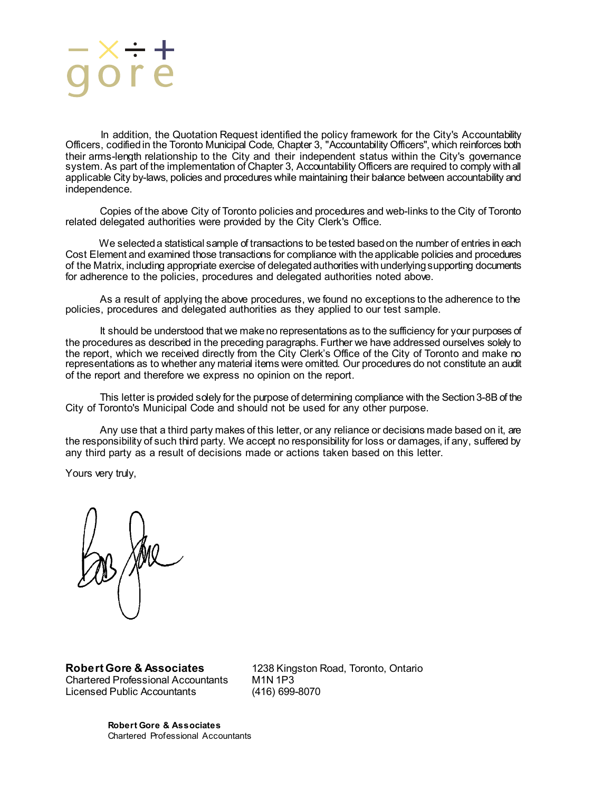In addition, the Quotation Request identified the policy framework for the City's Accountability Officers, codified in the Toronto Municipal Code, Chapter 3, "Accountability Officers", which reinforces both their arms-length relationship to the City and their independent status within the City's governance system. As part of the implementation of Chapter 3, Accountability Officers are required to comply with all applicable City by-laws, policies and procedures while maintaining their balance between accountability and independence.

Copies of the above City of Toronto policies and procedures and web-links to the City of Toronto related delegated authorities were provided by the City Clerk's Office.

We selected a statistical sample of transactions to be tested based on the number of entries in each Cost Element and examined those transactions for compliance with the applicable policies and procedures of the Matrix, including appropriate exercise of delegated authorities with underlying supporting documents for adherence to the policies, procedures and delegated authorities noted above.

As a result of applying the above procedures, we found no exceptions to the adherence to the policies, procedures and delegated authorities as they applied to our test sample.

It should be understood that we make no representations as to the sufficiency for your purposes of the procedures as described in the preceding paragraphs. Further we have addressed ourselves solely to the report, which we received directly from the City Clerk's Office of the City of Toronto and make no representations as to whether any material items were omitted. Our procedures do not constitute an audit of the report and therefore we express no opinion on the report.

This letter is provided solely for the purpose of determining compliance with the Section 3-8B of the City of Toronto's Municipal Code and should not be used for any other purpose.

Any use that a third party makes of this letter, or any reliance or decisions made based on it, are the responsibility of such third party. We accept no responsibility for loss or damages, if any, suffered by any third party as a result of decisions made or actions taken based on this letter.

Yours very truly,

Chartered Professional Accountants M1N 1P3<br>Licensed Public Accountants (416) 699-8070 Licensed Public Accountants

**Robert Gore & Associates** 1238 Kingston Road, Toronto, Ontario Chartered Professional Accountants M1N 1P3

**Robert Gore & Associates** Chartered Professional Accountants